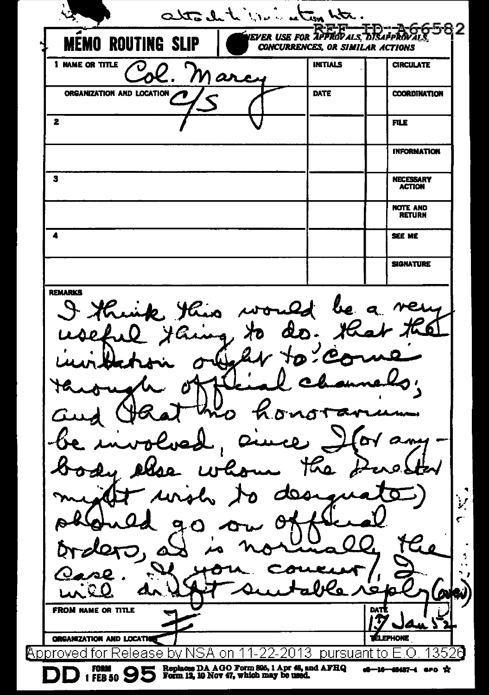attach to the international EVER USE FOR APPROVALS, DISAPPROVALS **MO ROUTING SLIP CONCURRENCES, OR SIMILAR ACTIONS** 1 NAME OR TITLE **INITIALS CIRCULATE**  $\boldsymbol{\omega}$ ORGANIZATION AND LOCATION DATE **COORDINATION**  $\overline{\mathbf{2}}$ **FILE INFORMATION** NECESSARY<br>ACTION  $\mathbf{3}$ **NOTE AND RETURN**  $\blacktriangleleft$ SEE ME **SIGNATURE REMARKS** would be a ven Kuik this dr.  $\lambda$ -6 Ũ У Ĉ. O Λ ÷. ⁄о **FROM NAME OR TITLE DAT** Y и ерноме **ORGANIZATION AND LOCATIO Approved for Release by NSA on 11-2** 2013 pursuant to E.O 352 Replaces DA AGO Form 895, 1 Apr 48, and AFHQ<br>Form 12, 10 Nov 47, which may be used. FORM a6-16-48487-4 aro X 1 FEB 50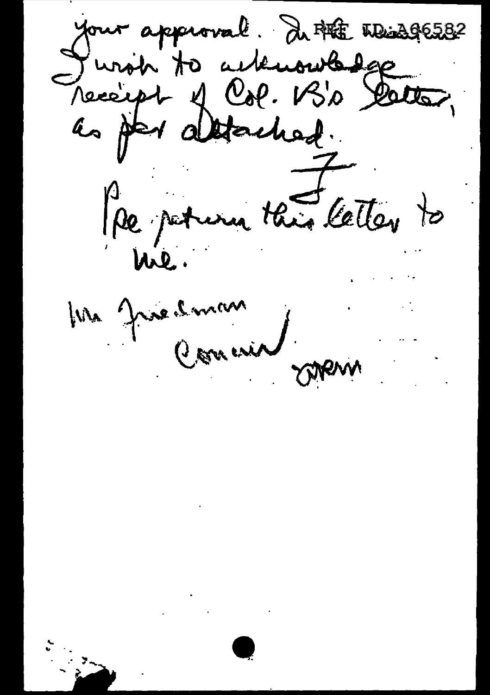your approval. In PEE Wind 96582 Jursin to acteurne des Pre peturn this letter to Ma Justinan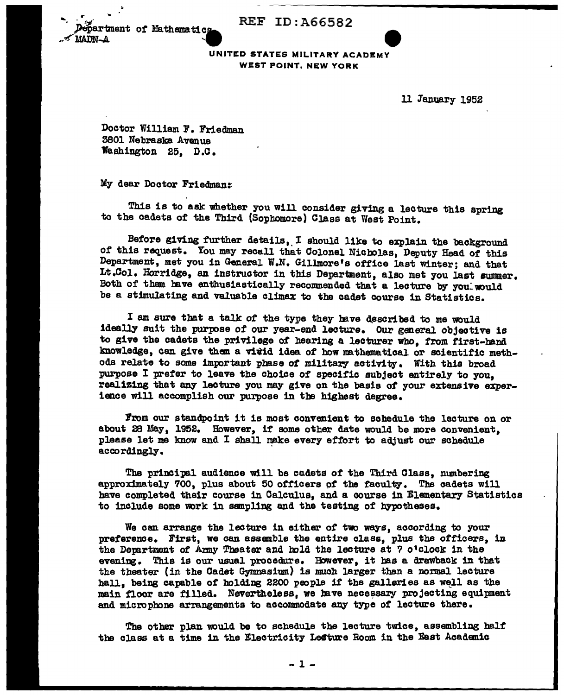REF ID: A66582



UNITED STATES MILITARY ACADEMY WEST POINT, NEW YORK

11 January 1952

Doctor William F. Friedman 3801 Nebraska Avenue Washington 25, D.C.

My dear Doctor Friedman::

This is to ask whether you will consider giving a lecture this spring to the cadets of the Third (Sopbomore) Class at West Point.

Before giving further details, I should like to explain the background *ot* this request. You may recall that Colonel Nicholas, Deputy Head *ot* this Department, met you in General W.N. Gillmore's office last winter; and that Lt.Col. Horridge, an instructor in this Department, also met you last summer. Both *ot* them have enthusiastically recommended that a lecture by you: would be a stimulating and valuable climax to the cadet course in Statistics.

I am sure that a talk of the type they have described to me would ideally suit the purpose *ot* our year-end lecture. Our general objective is to give the cadets the privilege of hearing a lecturer who, from first-hand knowledge, can give them a virid idea of how mathematical or scientific methods relate to some important phase of military activity. With this broad purpose I prefer to leave the choice of specific subject entirely to you, realizing that any lecture you may give on the basis of your extensive experience will accomplish our purpose in the highest degree.

From our standpoint it is most convenient to schedule the lecture on or about 28 May, 1952. However, if some other date would be more convenient, please let me know and I shall make every effort to adjust our schedule accordingly.

Tbs principal audience will be cadets *ot* the Third Class, numbering approximately 700, plus about 50 officers of the faculty. The cadets will have completed their course in Calculus, and a course in Elementary Statistics to include some work in sampling and the testing of hypotheses.

We can arrange the lecture in either of two ways, according to your preference. First, we can assemble the entire class, plus the officers, in the Department of Army Theater and hold the lecture at 7 o'clock in the evening. This is our usual procedure. However, it has a drawback in that the theater (in the Cadet Gymnasium) is much larger than a normal lecture hall, being capable of holding 2200 people if the galleries as well as the main floor are filled. Nevertheless, we have necessary projecting equipment and microphone arrangements to accommodate any type of lecture there.

The other plan would be to schedule the lecture twice, assembling half the class at a time in the Electricity Lecture Room in the East Academic